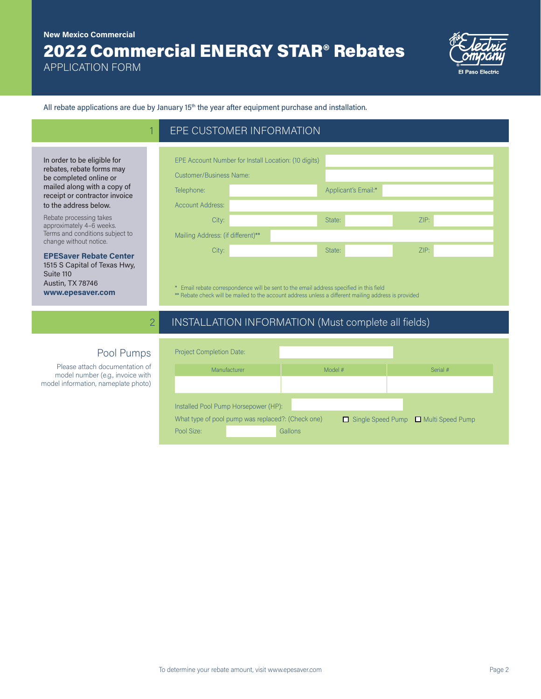## 2022 Commercial ENERGY STAR® Rebates **New Mexico Commercial**

EPE CUSTOMER INFORMATION

APPLICATION FORM

In order to be eligible for rebates, rebate forms may be completed online or mailed along with a copy of receipt or contractor invoice to the address below. Rebate processing takes approximately 4–6 weeks. Terms and conditions subject to change without notice.

**EPESaver Rebate Center**  1515 S Capital of Texas Hwy,

Suite 110 Austin, TX 78746 **www.epesaver.com**



All rebate applications are due by January 15<sup>th</sup> the year after equipment purchase and installation.

| <b>Customer/Business Name:</b>    |  |                     |      |  |  |
|-----------------------------------|--|---------------------|------|--|--|
| Telephone:                        |  | Applicant's Email:* |      |  |  |
| <b>Account Address:</b>           |  |                     |      |  |  |
| City:                             |  | State:              | ZIP: |  |  |
| Mailing Address: (if different)** |  |                     |      |  |  |
| City:                             |  | State:              | ZIP: |  |  |

\* Email rebate correspondence will be sent to the email address specified in this field \*\* Rebate check will be mailed to the account address unless a different mailing address is provided

## 2 INSTALLATION INFORMATION (Must complete all fields)

| <b>Project Completion Date:</b>                                                         |              |         |  |          |  |
|-----------------------------------------------------------------------------------------|--------------|---------|--|----------|--|
|                                                                                         | Manufacturer | Model # |  | Serial # |  |
|                                                                                         |              |         |  |          |  |
|                                                                                         |              |         |  |          |  |
| Installed Pool Pump Horsepower (HP):                                                    |              |         |  |          |  |
| What type of pool pump was replaced?: (Check one)<br>Single Speed Pump Multi Speed Pump |              |         |  |          |  |
| Pool Size:                                                                              |              | Gallons |  |          |  |

## Pool Pumps

Please attach documentation of model number (e.g., invoice with model information, nameplate photo)